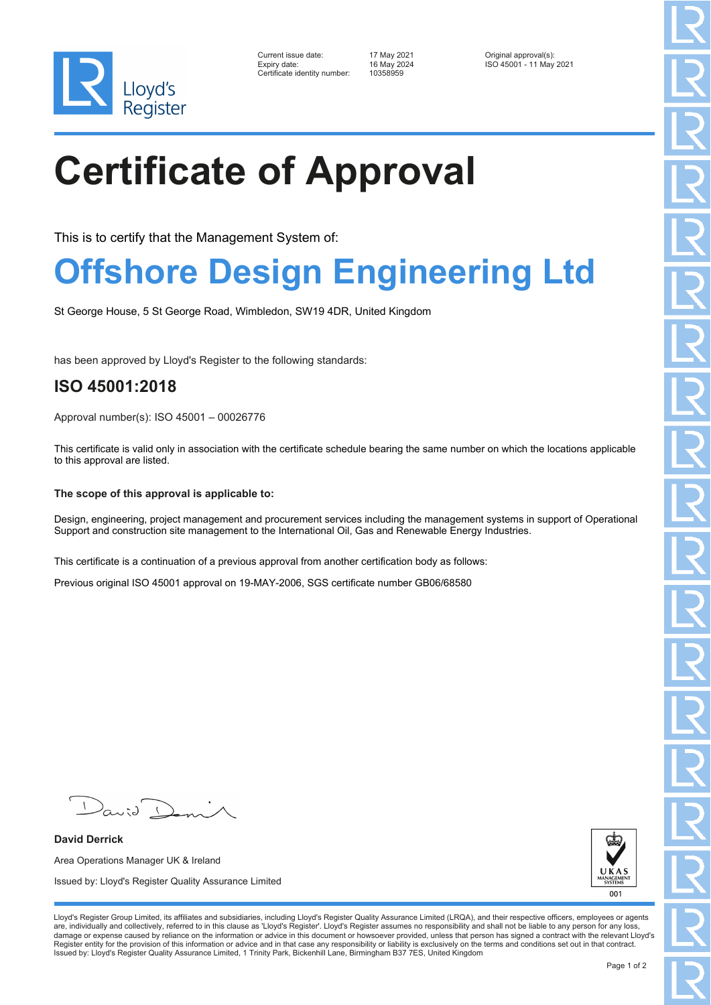

| Current issue date:          | 17 May 2021 | Original approval(s):   |
|------------------------------|-------------|-------------------------|
| Expiry date:                 | 16 May 2024 | ISO 45001 - 11 May 2021 |
| Certificate identity number: | 10358959    |                         |

# **Certificate of Approval**

This is to certify that the Management System of:

### **Offshore Design Engineering Ltd**

St George House, 5 St George Road, Wimbledon, SW19 4DR, United Kingdom

has been approved by Lloyd's Register to the following standards:

### **ISO 45001:2018**

Approval number(s): ISO 45001 – 00026776

This certificate is valid only in association with the certificate schedule bearing the same number on which the locations applicable to this approval are listed.

#### **The scope of this approval is applicable to:**

Design, engineering, project management and procurement services including the management systems in support of Operational Support and construction site management to the International Oil, Gas and Renewable Energy Industries.

This certificate is a continuation of a previous approval from another certification body as follows:

Previous original ISO 45001 approval on 19-MAY-2006, SGS certificate number GB06/68580

**David Derrick** Area Operations Manager UK & Ireland Issued by: Lloyd's Register Quality Assurance Limited



Lloyd's Register Group Limited, its affiliates and subsidiaries, including Lloyd's Register Quality Assurance Limited (LRQA), and their respective officers, employees or agents are, individually and collectively, referred to in this clause as 'Lloyd's Register'. Lloyd's Register assumes no responsibility and shall not be liable to any person for any loss,<br>damage or expense caused by reliance on t Register entity for the provision of this information or advice and in that case any responsibility or liability is exclusively on the terms and conditions set out in that contract. Issued by: Lloyd's Register Quality Assurance Limited, 1 Trinity Park, Bickenhill Lane, Birmingham B37 7ES, United Kingdom